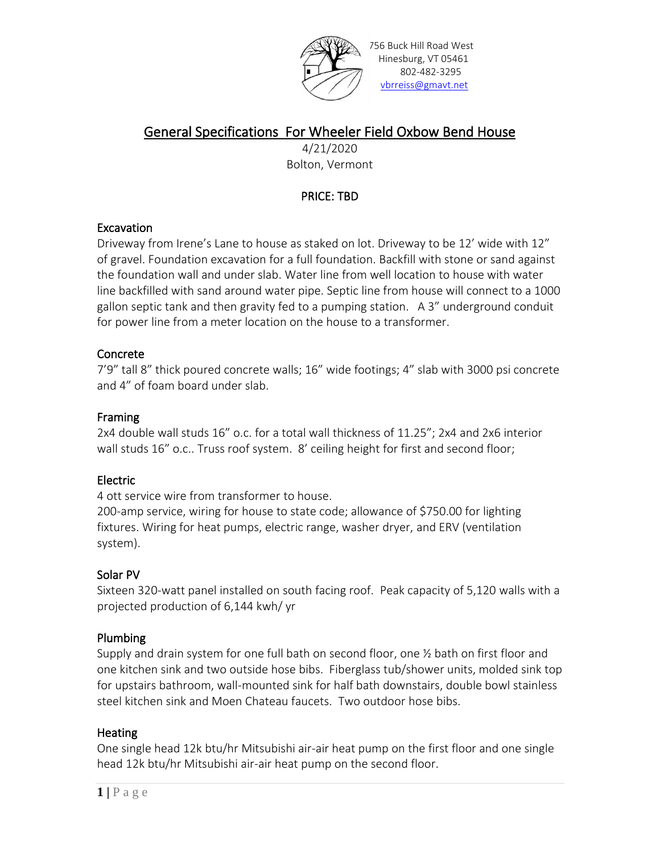

756 Buck Hill Road West Hinesburg, VT 05461 802-482-3295 [vbrreiss@gmavt.net](mailto:vbrreiss@gmavt.net)

# General Specifications For Wheeler Field Oxbow Bend House

4/21/2020 Bolton, Vermont

# PRICE: TBD

## **Excavation**

Driveway from Irene's Lane to house as staked on lot. Driveway to be 12' wide with 12" of gravel. Foundation excavation for a full foundation. Backfill with stone or sand against the foundation wall and under slab. Water line from well location to house with water line backfilled with sand around water pipe. Septic line from house will connect to a 1000 gallon septic tank and then gravity fed to a pumping station. A 3" underground conduit for power line from a meter location on the house to a transformer.

## Concrete

7'9" tall 8" thick poured concrete walls; 16" wide footings; 4" slab with 3000 psi concrete and 4" of foam board under slab.

## Framing

2x4 double wall studs 16" o.c. for a total wall thickness of 11.25"; 2x4 and 2x6 interior wall studs 16" o.c.. Truss roof system. 8' ceiling height for first and second floor;

## Electric

4 ott service wire from transformer to house.

200-amp service, wiring for house to state code; allowance of \$750.00 for lighting fixtures. Wiring for heat pumps, electric range, washer dryer, and ERV (ventilation system).

## Solar PV

Sixteen 320-watt panel installed on south facing roof. Peak capacity of 5,120 walls with a projected production of 6,144 kwh/ yr

## Plumbing

Supply and drain system for one full bath on second floor, one  $\frac{1}{2}$  bath on first floor and one kitchen sink and two outside hose bibs. Fiberglass tub/shower units, molded sink top for upstairs bathroom, wall-mounted sink for half bath downstairs, double bowl stainless steel kitchen sink and Moen Chateau faucets. Two outdoor hose bibs.

## **Heating**

One single head 12k btu/hr Mitsubishi air-air heat pump on the first floor and one single head 12k btu/hr Mitsubishi air-air heat pump on the second floor.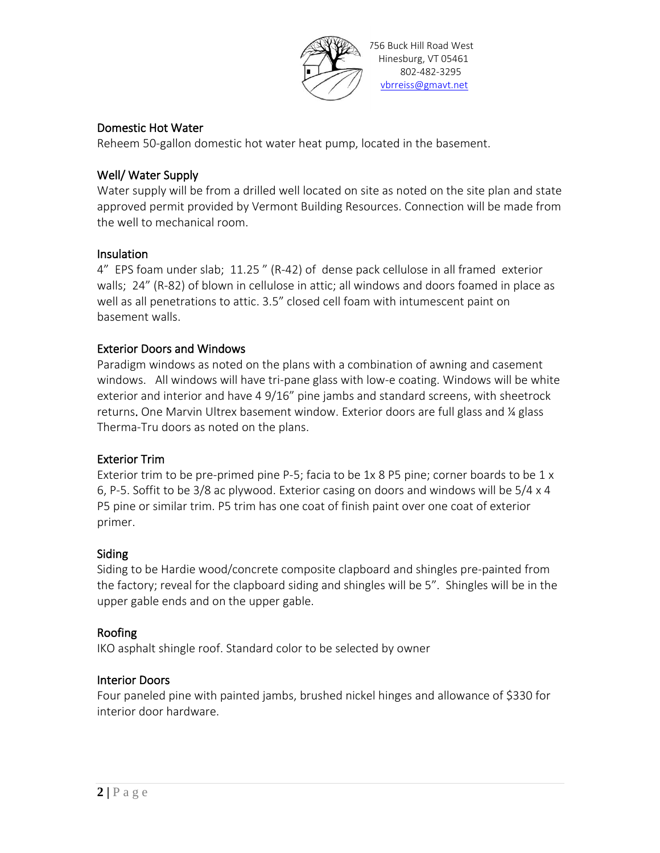

#### Domestic Hot Water

Reheem 50-gallon domestic hot water heat pump, located in the basement.

#### Well/ Water Supply

Water supply will be from a drilled well located on site as noted on the site plan and state approved permit provided by Vermont Building Resources. Connection will be made from the well to mechanical room.

#### Insulation

4" EPS foam under slab; 11.25 " (R-42) of dense pack cellulose in all framed exterior walls; 24" (R-82) of blown in cellulose in attic; all windows and doors foamed in place as well as all penetrations to attic. 3.5" closed cell foam with intumescent paint on basement walls.

#### Exterior Doors and Windows

Paradigm windows as noted on the plans with a combination of awning and casement windows. All windows will have tri-pane glass with low-e coating. Windows will be white exterior and interior and have 4 9/16" pine jambs and standard screens, with sheetrock returns. One Marvin Ultrex basement window. Exterior doors are full glass and ¼ glass Therma-Tru doors as noted on the plans.

#### Exterior Trim

Exterior trim to be pre-primed pine P-5; facia to be 1x 8 P5 pine; corner boards to be 1 x 6, P-5. Soffit to be 3/8 ac plywood. Exterior casing on doors and windows will be 5/4 x 4 P5 pine or similar trim. P5 trim has one coat of finish paint over one coat of exterior primer.

#### Siding

Siding to be Hardie wood/concrete composite clapboard and shingles pre-painted from the factory; reveal for the clapboard siding and shingles will be 5". Shingles will be in the upper gable ends and on the upper gable.

#### Roofing

IKO asphalt shingle roof. Standard color to be selected by owner

#### Interior Doors

Four paneled pine with painted jambs, brushed nickel hinges and allowance of \$330 for interior door hardware.